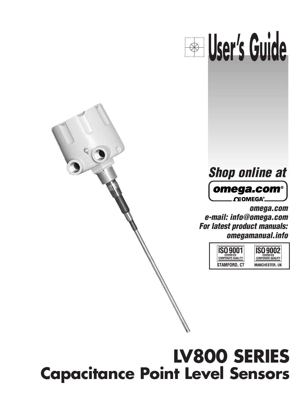



**omega.com e-mail: info@omega.com For latest product manuals: omegamanual.info**



# **LV800 SERIES Capacitance Point Level Sensors**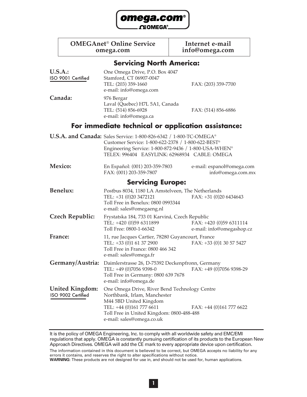

| <b>OMEGAnet<sup>®</sup> Online Service</b> |  |
|--------------------------------------------|--|
| omega.com                                  |  |

**Internet e-mail omega.com info@omega.com**

## **Servicing North America:**

| <b>U.S.A.:</b><br>ISO 9001 Certified         | One Omega Drive, P.O. Box 4047<br>Stamford, CT 06907-0047<br>TEL: (203) 359-1660<br>e-mail: info@omega.com                                                                                                                         | FAX: (203) 359-7700                                  |
|----------------------------------------------|------------------------------------------------------------------------------------------------------------------------------------------------------------------------------------------------------------------------------------|------------------------------------------------------|
| Canada:                                      | 976 Bergar<br>Laval (Quebec) H7L 5A1, Canada<br>TEL: (514) 856-6928<br>e-mail: info@omega.ca                                                                                                                                       | FAX: (514) 856-6886                                  |
|                                              | For immediate technical or application assistance:                                                                                                                                                                                 |                                                      |
|                                              | U.S.A. and Canada: Sales Service: 1-800-826-6342 / 1-800-TC-OMEGA®<br>Customer Service: 1-800-622-2378 / 1-800-622-BEST®<br>Engineering Service: 1-800-872-9436 / 1-800-USA-WHEN®<br>TELEX: 996404 EASYLINK: 62968934 CABLE: OMEGA |                                                      |
| Mexico:                                      | En Español: (001) 203-359-7803<br>FAX: (001) 203-359-7807                                                                                                                                                                          | e-mail: espanol@omega.com<br>info@omega.com.mx       |
|                                              | <b>Servicing Europe:</b>                                                                                                                                                                                                           |                                                      |
| <b>Benelux:</b>                              | Postbus 8034, 1180 LA Amstelveen, The Netherlands<br>TEL: +31 (0)20 3472121<br>Toll Free in Benelux: 0800 0993344<br>e-mail: sales@omegaeng.nl                                                                                     | FAX: +31 (0)20 6434643                               |
| <b>Czech Republic:</b>                       | Frystatska 184, 733 01 Karviná, Czech Republic<br>TEL: +420 (0)59 6311899<br>Toll Free: 0800-1-66342                                                                                                                               | FAX: +420 (0)59 6311114<br>e-mail: info@omegashop.cz |
| France:                                      | 11, rue Jacques Cartier, 78280 Guyancourt, France<br>TEL: +33 (0)1 61 37 2900<br>Toll Free in France: 0800 466 342<br>e-mail: sales@omega.fr                                                                                       | FAX: +33 (0)1 30 57 5427                             |
| Germany/Austria:                             | Daimlerstrasse 26, D-75392 Deckenpfronn, Germany<br>TEL: +49 (0)7056 9398-0<br>Toll Free in Germany: 0800 639 7678<br>e-mail: info@omega.de                                                                                        | FAX: +49 (0)7056 9398-29                             |
| <b>United Kingdom:</b><br>ISO 9002 Certified | One Omega Drive, River Bend Technology Centre<br>Northbank, Irlam, Manchester<br>M44 5BD United Kingdom<br>TEL: +44 (0)161 777 6611<br>Toll Free in United Kingdom: 0800-488-488<br>e-mail: sales@omega.co.uk                      | FAX: +44 (0)161 777 6622                             |

It is the policy of OMEGA Engineering, Inc. to comply with all worldwide safety and EMC/EMI regulations that apply. OMEGA is constantly pursuing certification of its products to the European New Approach Directives. OMEGA will add the CE mark to every appropriate device upon certification.

The information contained in this document is believed to be correct, but OMEGA accepts no liability for any errors it contains, and reserves the right to alter specifications without notice.

**WARNING:** These products are not designed for use in, and should not be used for, human applications.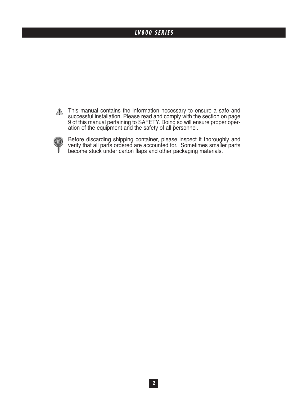## **LV800 SERIES**

 $\triangle$ This manual contains the information necessary to ensure a safe and successful installation. Please read and comply with the section on page 9 of this manual pertaining to SAFETY. Doing so will ensure proper operation of the equipment and the safety of all personnel.



Before discarding shipping container, please inspect it thoroughly and verify that all parts ordered are accounted for. Sometimes smaller parts become stuck under carton flaps and other packaging materials.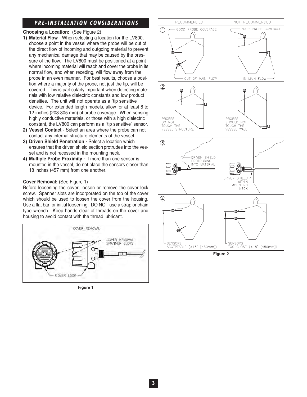## **PRE-INSTALLATION CONSIDERATIONS**

#### **Choosing a Location:** (See Figure 2)

- **1) Material Flow** When selecting a location for the LV800, choose a point in the vessel where the probe will be out of the direct flow of incoming and outgoing material to prevent any mechanical damage that may be caused by the pressure of the flow. The LV800 must be positioned at a point where incoming material will reach and cover the probe in its normal flow, and when receding, will flow away from the probe in an even manner. For best results, choose a position where a majority of the probe, not just the tip, will be covered. This is particularly important when detecting materials with low relative dielectric constants and low product densities. The unit will not operate as a "tip sensitive" device. For extended length models, allow for at least 8 to 12 inches (203-305 mm) of probe coverage. When sensing highly conductive materials, or those with a high dielectric constant, the LV800 can perform as a "tip sensitive" sensor.
- **2) Vessel Contact**  Select an area where the probe can not contact any internal structure elements of the vessel.
- **3) Driven Shield Penetration -** Select a location which ensures that the driven shield section protrudes into the vessel and is not recessed in the mounting neck.
- **4) Multiple Probe Proximity -** If more than one sensor is mounted in the vessel, do not place the sensors closer than 18 inches (457 mm) from one another.

#### **Cover Removal:** (See Figure 1)

Before loosening the cover, loosen or remove the cover lock screw. Spanner slots are incorporated on the top of the cover which should be used to loosen the cover from the housing. Use a flat bar for initial loosening. DO NOT use a strap or chain type wrench. Keep hands clear of threads on the cover and housing to avoid contact with the thread lubricant.



**Figure 1**

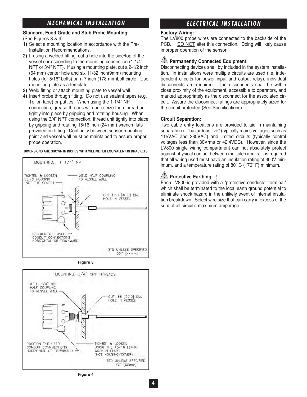## **MECHANICAL INSTALLATION**

#### **Standard, Food Grade and Stub Probe Mounting:**  (See Figures 3 & 4)

- **1)** Select a mounting location in accordance with the Pre-Installation Recommendations.
- **2)** If using a welded fitting, cut a hole into the side/top of the vessel corresponding to the mounting connection (1-1/4" NPT or 3/4" NPT). If using a mounting plate, cut a 2-1/2 inch (64 mm) center hole and six 11/32 inch(9mm) mounting holes (for 5/16" bolts) on a 7 inch (178 mm)bolt circle. Use mounting plate as a template.
- **3)** Weld fitting or attach mounting plate to vessel wall.
- **4)** Insert probe through fitting. Do not use sealant tapes (e.g. Teflon tape) or putties. When using the 1-1/4" NPT connection, grease threads with anti-seize then thread unit tightly into place by gripping and rotating housing. When using the 3/4" NPT connection, thread unit tightly into place by gripping and rotating 15/16 inch (24 mm) wrench flats provided on fitting. Continuity between sensor mounting point and vessel wall must be maintained to assure proper probe operation.

#### **DIMENSIONS ARE SHOWN IN INCHES WITH MILLIMETER EQUIVALENT IN BRACKETS**



**Figure 3**



## **ELECTRICAL INSTALLATION**

#### **Factory Wiring:**

The LV800 probe wires are connected to the backside of the PCB. DO NOT alter this connection. Doing will likely cause improper operation of the sensor.

#### **Permanently Connected Equipment:**

Disconnecting devices shall by included in the system installation. In installations were multiple circuits are used (i.e. independent circuits for power input and output relay), individual disconnects are required. The disconnects shall be within close proximity of the equipment, accessible to operators, and marked appropriately as the disconnect for the associated circuit. Assure the disconnect ratings are appropriately sized for the circuit protected (See Specifications).

#### **Circuit Separation:**

Two cable entry locations are provided to aid in maintaining separation of "hazardous live" (typically mains voltages such as 115VAC and 230VAC) and limited circuits (typically control voltages less than 30Vrms or 42.4VDC). However, since the LV800 single wiring compartment can not absolutely protect against physical contact between multiple circuits, it is required that all wiring used must have an insulation rating of 300V minimum, and a temperature rating of 80˚ C (176˚ F) minimum.

#### **AL Protective Earthing: ⊜**

Each LV800 is provided with a "protective conductor terminal" which shall be terminated to the local earth ground potential to eliminate shock hazard in the unlikely event of internal insulation breakdown. Select wire size that can carry in excess of the sum of all circuit's maximum amperage.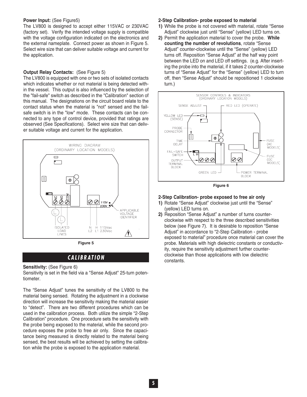#### **Power Input:** (See Figure5)

The LV800 is designed to accept either 115VAC or 230VAC (factory set). Verify the intended voltage supply is compatible with the voltage configuration indicated on the electronics and the external nameplate. Connect power as shown in Figure 5. Select wire size that can deliver suitable voltage and current for the application.

#### **Output Relay Contacts:** (See Figure 5)

The LV800 is equipped with one or two sets of isolated contacts which indicates whether or not material is being detected within the vessel. This output is also influenced by the selection of the "fail-safe" switch as described in the "Calibration" section of this manual. The designations on the circuit board relate to the contact status when the material is "not" sensed and the failsafe switch is in the "low" mode. These contacts can be connected to any type of control device, provided that ratings are observed (See Specifications). Select wire size that can deliver suitable voltage and current for the application.



**Figure 5**

## **CALIBRATION**

#### **Sensitivity:** (See Figure 6)

Sensitivity is set in the field via a "Sense Adjust" 25-turn potentiometer.

The "Sense Adjust" tunes the sensitivity of the LV800 to the material being sensed. Rotating the adjustment in a clockwise direction will increase the sensitivity making the material easier to "detect". There are two different procedures which can be used in the calibration process. Both utilize the simple "2-Step Calibration" procedure. One procedure sets the sensitivity with the probe being exposed to the material, while the second procedure exposes the probe to free air only. Since the capacitance being measured is directly related to the material being sensed, the best results will be achieved by setting the calibration while the probe is exposed to the application material.

#### **2-Step Calibration- probe exposed to material**

- **1)** While the probe is not covered with material, rotate "Sense Adjust" clockwise just until "Sense" (yellow) LED turns on.
- **2)** Permit the application material to cover the probe. **While counting the number of revolutions**, rotate "Sense Adjust" counter-clockwise until the "Sense" (yellow) LED turns off. Reposition "Sense Adjust" at the half way point between the LED on and LED off settings. (e.g. After inserting the probe into the material, if it takes 2 counter-clockwise turns of "Sense Adjust" for the "Sense" (yellow) LED to turn off, then "Sense Adjust" should be repositioned 1 clockwise turn.)



**Figure 6**

#### **2-Step Calibration- probe exposed to free air only**

- **1)** Rotate "Sense Adjust" clockwise just until the "Sense" (yellow) LED turns on.
- **2)** Reposition "Sense Adjust" a number of turns counterclockwise with respect to the three described sensitivities below (see Figure 7). It is desirable to reposition "Sense Adjust" in accordance to "2-Step Calibration - probe exposed to material" procedure once material can cover the probe. Materials with high dielectric constants or conductivity, require the sensitivity adjustment further counterclockwise than those applications with low dielectric constants.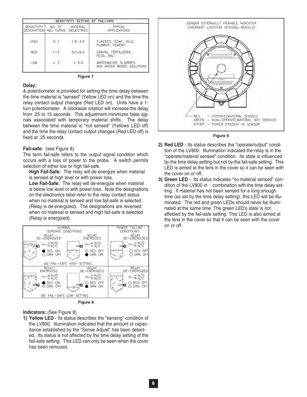| SENSITIVITY SETTING OF THE LV800         |         |                                           |                                                    |
|------------------------------------------|---------|-------------------------------------------|----------------------------------------------------|
| <b>SENSITIVITY</b><br><b>DESCRIPTION</b> |         | NO. OF MATERIAL<br>ADJ TURNS DIELECTRICS. | TYPICAL<br><b>APPLICATIONS</b>                     |
| <b>HIGH</b>                              | $0 - 1$ | $1.5 - 3.0$                               | PLASTICS, SOAP, OILS,<br>RUBBER, CEMENT            |
| <b>MED</b>                               | $1 - 3$ | $3.0 - 9.0$                               | GRAINS, FERTILIZERS,<br>FEED, SALT                 |
| <b>LOW</b>                               | > 3     | >9.0                                      | WASTEWATER, SLURRIES,<br>ANY WATER BASED SOLUTIONS |

**Figure 7**

#### **Delay:**

A potentiometer is provided for setting the time delay between the time material is "sensed" (Yellow LED on) and the time the relay contact output changes (Red LED on). Units have a 1 turn potentiometer. A clockwise rotation will increase the delay from .25 to 15 seconds. This adjustment minimizes false signals associated with temporary material shifts. The delay between the time material is "not sensed" (Yellows LED off) and the time the relay contact output changes (Red LED off) is fixed at .25 seconds.

#### **Fail-safe:** (see Figure 8)

The term fail-safe refers to the output signal condition which occurs with a loss of power to the probe. A switch permits selection of either low or high fail-safe.

**High Fail-Safe:** The relay will de-energize when material is sensed at high level or with power loss.

**Low Fail-Safe:** The relay will de-energize when material is below low level or with power loss. Note the designations on the electronics label refer to the relay contact status when no material is sensed and low fail-safe is selected (Relay is de-energized). The designations are reversed when no material is sensed and high fail-safe is selected (Relay is energized).



**Figure 8**

#### **Indicators:** (See Figure 9)

**1) Yellow LED** - Its status describes the "sensing" condition of the LV800. Illumination indicated that the amount of capacitance established by the "Sense Adjust" has been detected. Its status is not affected by the time delay setting of the fail-safe setting. This LED can only be seen when the cover has been removed.





- **2) Red LED** Its status describes the "operate/output" condition of the LV800. Illumination indicated the relay is in the "operate/material sensed" condition. Its state is influenced by the time delay setting but not by the fail-safe setting. This LED is aimed at the lens in the cover so it can be seen with the cover on or off.
- **3) Green LED** Its status indicates "no material sensed" condition of the LV800 in combination with the time delay setting. If material has not been sensed for a long enough time (as set by the time delay setting), this LED will be illuminated. The red and green LEDs should never be illuminated at the same time. The green LED's state is not affected by the fail-safe setting. This LED is also aimed at the lens in the cover so that it can be seen with the cover on or off.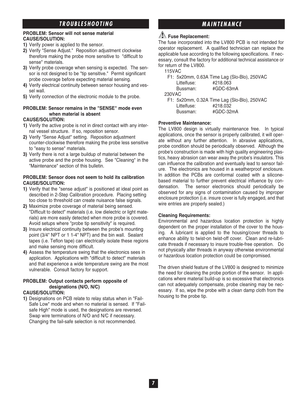## **TROUBLESHOOTING MAINTENANCE**

#### **PROBLEM: Sensor will not sense material CAUSE/SOLUTION:**

- **1)** Verify power is applied to the sensor.
- **2)** Verify "Sense Adjust." Reposition adjustment clockwise therefore making the probe more sensitive to "difficult to sense" materials.
- **3)** Verify probe coverage when sensing is expected. The sensor is not designed to be "tip sensitive." Permit significant probe coverage before expecting material sensing.
- **4)** Verify electrical continuity between sensor housing and vessel wall.
- **5)** Verify connection of the electronic module to the probe.

### **PROBLEM: Sensor remains in the "SENSE" mode even when material is absent**

#### **CAUSE/SOLUTION:**

- **1)** Verify the active probe is not in direct contact with any internal vessel structure. If so, reposition sensor.
- **2)** Verify "Sense Adjust" setting. Reposition adjustment counter-clockwise therefore making the probe less sensitive to "easy to sense" materials.
- **3)** Verify there is not a large buildup of material between the active probe and the probe housing. See "Cleaning" in the "Maintenance" section of this bulletin.

#### **PROBLEM: Sensor does not seem to hold its calibration CAUSE/SOLUTION:**

- **1)** Verify that the "sense adjust" is positioned at ideal point as described in 2-Step Calibration procedure. Placing setting too close to threshold can create nuisance false signals.
- **2)** Maximize probe coverage of material being sensed. "Difficult to detect" materials (i.e. low dielectric or light materials) are more easily detected when more probe is covered. Avoid setups where "probe tip sensitivity" is required.
- **3)** Insure electrical continuity between the probe's mounting point (3/4" NPT or 1 1-4" NPT) and the bin wall. Sealant tapes (i.e. Teflon tape) can electrically isolate these regions and make sensing more difficult.
- **4)** Assess the temperature swing that the electronics sees in application. Applications with "difficult to detect" materials and that experience a wide temperature swing are the most vulnerable. Consult factory for support.

#### **PROBLEM: Output contacts perform opposite of designations (N/O, N/C)**

#### **CAUSE/SOLUTION:**

**1)** Designations on PCB relate to relay status when in "Fail-Safe Low" mode and when no material is sensed. If "Failsafe High" mode is used, the designations are reversed. Swap wire terminations of N/O and N/C if necessary. Changing the fail-safe selection is not recommended.

#### **Fuse Replacement:**

The fuse incorporated into the LV800 PCB is not intended for operator replacement. A qualified technician can replace the applicable fuse according to the following specifications. If necessary, consult the factory for additional technical assistance or for return of the LV800.

|  | 15VAC |  |
|--|-------|--|
|--|-------|--|

|             | F1: 5x20mm, 0.63A Time Lag (Slo-Blo), 250VAC |
|-------------|----------------------------------------------|
| Littelfuse: | #218.063                                     |
| Bussman:    | #GDC-63mA                                    |
| 230VAC      |                                              |

F1: 5x20mm, 0.32A Time Lag (Slo-Blo), 250VAC Littelfuse: #218.032 Bussman: #GDC-32mA

#### **Preventive Maintenance:**

The LV800 design is virtually maintenance free. In typical applications, once the sensor is properly calibrated, it will operate without any further attention. In abrasive applications, probe condition should be periodically observed. Although the probe's construction is made with high quality engineering plastics, heavy abrasion can wear away the probe's insulators. This can influence the calibration and eventually lead to sensor failure. The electronics are housed in a weatherproof enclosure. In addition the PCBs are conformal coated with a siliconebased material to further prevent electrical influence by condensation. The sensor electronics should periodically be observed for any signs of contamination caused by improper enclosure protection (i.e. insure cover is fully engaged, and that wire entries are properly sealed.)

#### **Cleaning Requirements:**

Environmental and hazardous location protection is highly dependent on the proper installation of the cover to the housing. A lubricant is applied to the housing/cover threads to enhance ability to twist-on twist-off cover. Clean and re-lubricate threads if necessary to insure trouble-free operation. Do not physically alter threads in anyway otherwise environmental or hazardous location protection could be compromised.

The driven shield feature of the LV800 is designed to minimize the need for cleaning the probe portion of the sensor. In applications where material build-up is so excessive that electronics can not adequately compensate, probe cleaning may be necessary. If so, wipe the probe with a clean damp cloth from the housing to the probe tip.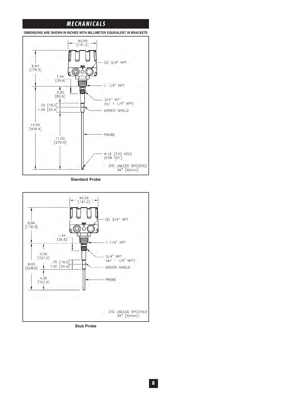## **MECHANICALS**

**DIMENSIONS ARE SHOWN IN INCHES WITH MILLIMETER EQUIVALENT IN BRACKETS**



**Standard Probe**



**Stub Probe**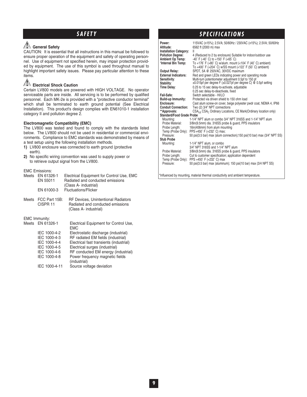### **General Safety**

CAUTION: It is essential that all instructions in this manual be followed to ensure proper operation of the equipment and safety of operating personnel. Use of equipment not specified herein, may impair protection provided by equipment. The use of this symbol is used throughout manual to highlight important safety issues. Please pay particular attention to these items.

### **Electrical Shock Caution**

Certain LV800 models are powered with HIGH VOLTAGE. No operator serviceable parts are inside. All servicing is to be performed by qualified personnel. Each MK-2e is provided with a "protective conductor terminal" which shall be terminated to earth ground potential (See Electrical Installation). This product's design complies with EN61010-1 installation category II and pollution degree 2.

#### **Electromagnetic Compatibility (EMC)**

The LV800 was tested and found to comply with the standards listed below. The LV800 should not be used in residential or commercial environments. Compliance to EMC standards was demonstrated by means of a test setup using the following installation methods.

- **1)** LV800 enclosure was connected to earth ground (protective earth).
- **2)** No specific wiring convention was used to supply power or to retrieve output signal from the LV800.

EMC Emissions:

| Meets | EN 61326-1<br>EN 55011<br>EN 61000-3 | Electrical Equipment for Control Use, EMC<br>Radiated and conducted emissions<br>(Class A- industrial)<br><b>Fluctuations/Flicker</b> |
|-------|--------------------------------------|---------------------------------------------------------------------------------------------------------------------------------------|
|       |                                      |                                                                                                                                       |
| Meets | FCC Part 15B:<br>CISPR <sub>11</sub> | <b>RF Devices, Unintentional Radiators</b><br>Radiated and conducted emissions<br>(Class A- industrial)                               |
|       | <b>EMC Immunity:</b>                 |                                                                                                                                       |
|       | Meets EN 61326-1                     | Electrical Equipment for Control Use,<br>EMC                                                                                          |
|       | IEC 1000-4-2                         | Electrostatic discharge (industrial)                                                                                                  |
|       | IEC 1000-4-3                         | RF radiated EM fields (industrial)                                                                                                    |
|       | IEC 1000-4-4                         | Electrical fast transients (industrial)                                                                                               |
|       | IEC 1000-4-5                         | Electrical surges (industrial)                                                                                                        |
|       | IEC 1000-4-6                         | RF conducted EM energy (industrial)                                                                                                   |
|       | IEC 1000-4-8                         | Power frequency magnetic fields<br>(industrial)                                                                                       |
|       | IEC 1000-4-11                        | Source voltage deviation                                                                                                              |

## **SAFETY SPECIFICATIONS**

| Power:<br>Altitude:                          | 115VAC (±15%); 2.5VA; 50/60Hz / 230VAC (±15%); 2.5VA; 50/60Hz<br>6562 ft (2000 m) max                                             |
|----------------------------------------------|-----------------------------------------------------------------------------------------------------------------------------------|
| <b>Installation Category:</b>                | Ш                                                                                                                                 |
| <b>Pollution Degree:</b><br>Ambient Op Temp: | 4 (Reduced to 2 by enclosure) Suitable for indoor/outdoor use<br>-40° F (-40° C) to +150° F (+65° C)                              |
| *Internal Bin Temp:                          | To +176° F (+80° C) w/alum. mount (<104° F (40° C) ambient)                                                                       |
|                                              | To +400° F (+204° C) w/SS mount (<122° F (50° C) ambient)                                                                         |
| <b>Output Relay:</b>                         | SPDT, 5A @ 250VAC, 30VDC maximum                                                                                                  |
| <b>External Indicators:</b>                  | Red and green LEDs indicating power and operating mode                                                                            |
| Sensitivity:<br>Stability:                   | Multi-turn potentiometer adjustment 0.5pf to 150 pf<br>$\pm 0.015$ pf per degree F ( $\pm 0.027$ pf per degree C) @ 0.5pf setting |
| Time Delay:                                  | 0.25 to 15 sec delay-to-activate, adjustable                                                                                      |
|                                              | 0.25 sec delay-to-deactivate, fixed                                                                                               |
| Fail-Safe:                                   | Switch selectable - HI/LO                                                                                                         |
| Build-up Immunity:                           | Protected via driven shield to 150 ohm load                                                                                       |
| Enclosure:                                   | Cast alum screw-on cover, beige polyester pwdr coat, NEMA 4, IP66                                                                 |
| <b>Conduit Connection:</b><br>**Approvals:   | Two (2) 3/4" NPT connections<br>CSA <sub>US</sub> CSA <sub>C</sub> Ordinary Locations, CE Mark(Ordinary location only)            |
| <b>Standard/Food Grade Probe</b>             |                                                                                                                                   |
| Mounting:                                    | 1-1/4" NPT alum or combo 3/4" NPT 316SS and 1-1/4" NPT alum                                                                       |
| Probe Material:                              | 3/8in(9.5mm) dia. 316SS probe & guard, PPS insulators                                                                             |
| Probe Length:                                | 16in(406mm) from alum mounting                                                                                                    |
| Temp (Probe Only):                           | PPS+450° F (+232° C) max;                                                                                                         |
| Pressure:<br><b>Stub Probe</b>               | 50 psi(3.5 bar) max (alum connection); 150 psi(10 bar) max (3/4" NPT SS)                                                          |
| Mounting:                                    | 1-1/4" NPT alum, or combo                                                                                                         |
|                                              | 3/4" NPT 316SS and 1-1/4" NPT alum                                                                                                |
| Probe Material:                              | 3/8in(9.5mm) dia. 316SS probe & quard, PPS insulators                                                                             |
| Probe Length:                                | Cut to customer specification; application dependent                                                                              |
|                                              | Temp (Probe Only): PPS +450° F (+232° C) max                                                                                      |
| Pressure:                                    | 50 psi(3.5 bar) max (aluminum); 150 psi(10 bar) max (3/4 NPT SS)                                                                  |
|                                              |                                                                                                                                   |
|                                              |                                                                                                                                   |

\*Influenced by mounting, material thermal conductivity and ambient temperature.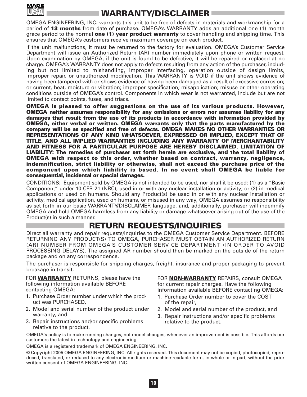

## **WARRANTY/DISCLAIMER**

OMEGA ENGINEERING, INC. warrants this unit to be free of defects in materials and workmanship for a period of **13 months** from date of purchase. OMEGA's WARRANTY adds an additional one (1) month grace period to the normal **one (1) year product warranty** to cover handling and shipping time. This ensures that OMEGA's customers receive maximum coverage on each product.

If the unit malfunctions, it must be returned to the factory for evaluation. OMEGA's Customer Service Department will issue an Authorized Return (AR) number immediately upon phone or written request. Upon examination by OMEGA, if the unit is found to be defective, it will be repaired or replaced at no charge. OMEGA's WARRANTY does not apply to defects resulting from any action of the purchaser, including but not limited to mishandling, improper interfacing, operation outside of design limits, improper repair, or unauthorized modification. This WARRANTY is VOID if the unit shows evidence of having been tampered with or shows evidence of having been damaged as a result of excessive corrosion; or current, heat, moisture or vibration; improper specification; misapplication; misuse or other operating conditions outside of OMEGA's control. Components in which wear is not warranted, include but are not limited to contact points, fuses, and triacs.

**OMEGA is pleased to offer suggestions on the use of its various products. However, OMEGA neither assumes responsibility for any omissions or errors nor assumes liability for any damages that result from the use of its products in accordance with information provided by OMEGA, either verbal or written. OMEGA warrants only that the parts manufactured by the company will be as specified and free of defects. OMEGA MAKES NO OTHER WARRANTIES OR REPRESENTATIONS OF ANY KIND WHATSOEVER, EXPRESSED OR IMPLIED, EXCEPT THAT OF TITLE, AND ALL IMPLIED WARRANTIES INCLUDING ANY WARRANTY OF MERCHANTABILITY AND FITNESS FOR A PARTICULAR PURPOSE ARE HEREBY DISCLAIMED. LIMITATION OF LIABILITY: The remedies of purchaser set forth herein are exclusive, and the total liability of OMEGA with respect to this order, whether based on contract, warranty, negligence, indemnification, strict liability or otherwise, shall not exceed the purchase price of the component upon which liability is based. In no event shall OMEGA be liable for consequential, incidental or special damages.**

CONDITIONS: Equipment sold by OMEGA is not intended to be used, nor shall it be used: (1) as a "Basic Component" under 10 CFR 21 (NRC), used in or with any nuclear installation or activity; or (2) in medical applications or used on humans. Should any Product(s) be used in or with any nuclear installation or activity, medical application, used on humans, or misused in any way, OMEGA assumes no responsibility as set forth in our basic WARRANTY/DISCLAIMER language, and, additionally, purchaser will indemnify OMEGA and hold OMEGA harmless from any liability or damage whatsoever arising out of the use of the Product(s) in such a manner.

## **RETURN REQUESTS/INQUIRIES**

Direct all warranty and repair requests/inquiries to the OMEGA Customer Service Department. BEFORE RETURNING ANY PRODUCT(S) TO OMEGA, PURCHASER MUST OBTAIN AN AUTHORIZED RETURN (AR) NUMBER FROM OMEGA'S CUSTOMER SERVICE DEPARTMENT (IN ORDER TO AVOID PROCESSING DELAYS). The assigned AR number should then be marked on the outside of the return package and on any correspondence.

The purchaser is responsible for shipping charges, freight, insurance and proper packaging to prevent breakage in transit.

FOR **WARRANTY** RETURNS, please have the following information available BEFORE contacting OMEGA:

- 1. Purchase Order number under which the product was PURCHASED,
- 2. Model and serial number of the product under warranty, and
- 3. Repair instructions and/or specific problems relative to the product.

FOR **NON-WARRANTY** REPAIRS, consult OMEGA for current repair charges. Have the following information available BEFORE contacting OMEGA:

- 1. Purchase Order number to cover the COST of the repair,
- 2. Model and serial number of the product, and
- 3. Repair instructions and/or specific problems relative to the product.

OMEGA's policy is to make running changes, not model changes, whenever an improvement is possible. This affords our customers the latest in technology and engineering.

OMEGA is a registered trademark of OMEGA ENGINEERING, INC.

© Copyright 2005 OMEGA ENGINEERING, INC. All rights reserved. This document may not be copied, photocopied, reproduced, translated, or reduced to any electronic medium or machine-readable form, in whole or in part, without the prior written consent of OMEGA ENGINEERING, INC.